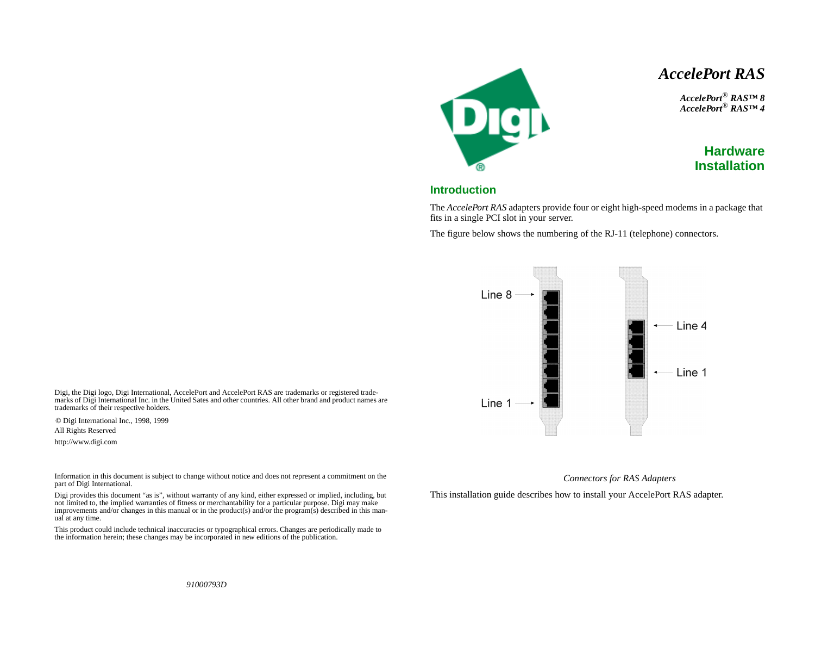# *AccelePort RAS*

*AccelePort*® *RAS™ 8 AccelePort*® *RAS™ 4*



### **Introduction**

Deh

The *AccelePort RAS* adapters provide four or eight high-speed modems in a package that fits in a single PCI slot in your server.

The figure below shows the numbering of the RJ-11 (telephone) connectors.



Digi, the Digi logo, Digi International, AccelePort and AccelePort RAS are trademarks or registered trademarks of Digi International Inc. in the United Sates and other countries. All other brand and product names are trademarks of their respective holders.

© Digi International Inc., 1998, 1999

All Rights Reserved

http://www.digi.com

Information in this document is subject to change without notice and does not represent a commitment on the part of Digi International.

Digi provides this document "as is", without warranty of any kind, either expressed or implied, including, but not limited to, the implied warranties of fitness or merchantability for a particular purpose. Digi may make improvements and/or changes in this manual or in the product(s) and/or the program(s) described in this manual at any time.

This product could include technical inaccuracies or typographical errors. Changes are periodically made to the information herein; these changes may be incorporated in new editions of the publication.

#### *Connectors for RAS Adapters*

This installation guide describes how to install your AccelePort RAS adapter.